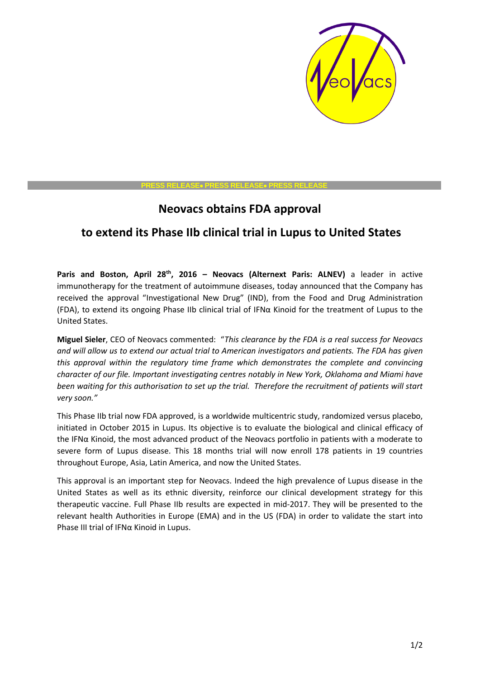

## **PRESS RELEASE PRESS RELEASE PRESS RELEASE**

## **Neovacs obtains FDA approval**

## **to extend its Phase IIb clinical trial in Lupus to United States**

**Paris and Boston, April 28th, 2016 – Neovacs (Alternext Paris: ALNEV)** a leader in active immunotherapy for the treatment of autoimmune diseases, today announced that the Company has received the approval "Investigational New Drug" (IND), from the Food and Drug Administration (FDA), to extend its ongoing Phase IIb clinical trial of IFNα Kinoid for the treatment of Lupus to the United States.

**Miguel Sieler**, CEO of Neovacs commented: "*This clearance by the FDA is a real success for Neovacs and will allow us to extend our actual trial to American investigators and patients. The FDA has given this approval within the regulatory time frame which demonstrates the complete and convincing character of our file. Important investigating centres notably in New York, Oklahoma and Miami have been waiting for this authorisation to set up the trial. Therefore the recruitment of patients will start very soon."*

This Phase IIb trial now FDA approved, is a worldwide multicentric study, randomized versus placebo, initiated in October 2015 in Lupus. Its objective is to evaluate the biological and clinical efficacy of the IFNα Kinoid, the most advanced product of the Neovacs portfolio in patients with a moderate to severe form of Lupus disease. This 18 months trial will now enroll 178 patients in 19 countries throughout Europe, Asia, Latin America, and now the United States.

This approval is an important step for Neovacs. Indeed the high prevalence of Lupus disease in the United States as well as its ethnic diversity, reinforce our clinical development strategy for this therapeutic vaccine. Full Phase IIb results are expected in mid-2017. They will be presented to the relevant health Authorities in Europe (EMA) and in the US (FDA) in order to validate the start into Phase III trial of IFNα Kinoid in Lupus.